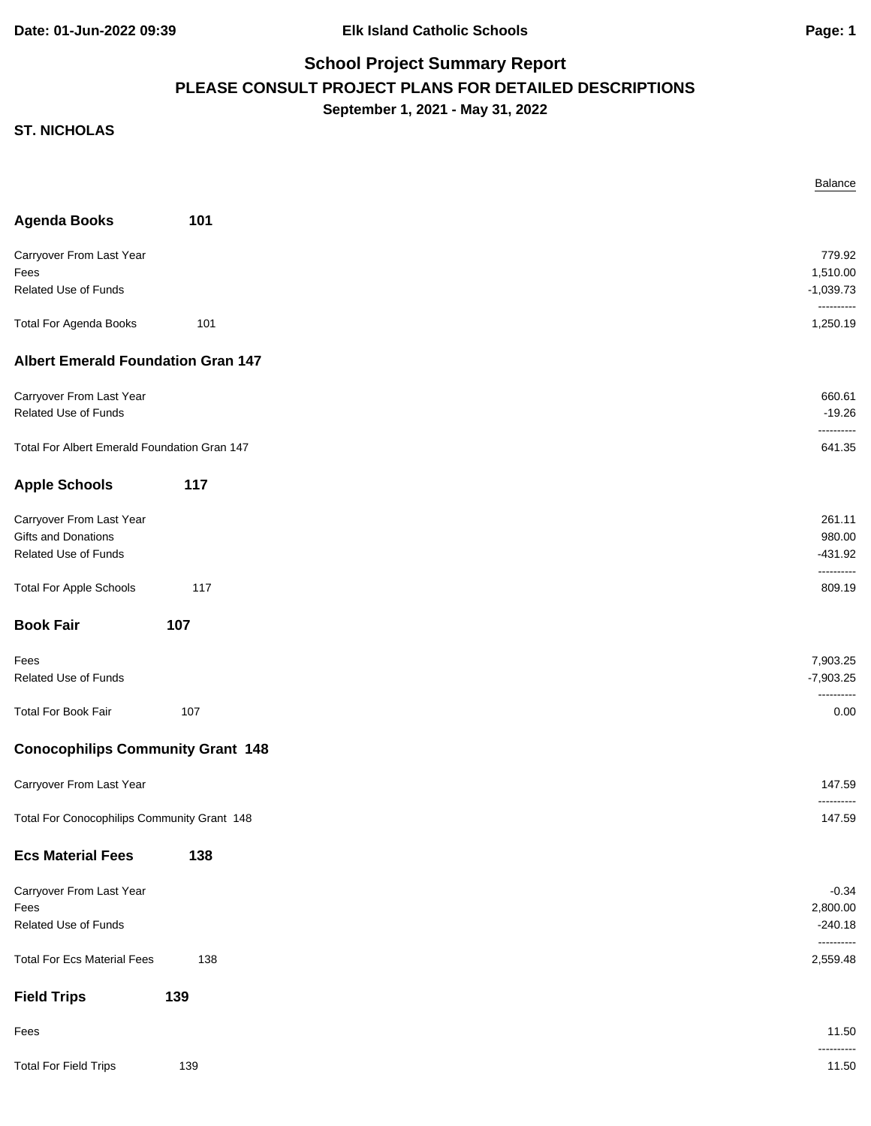**Date: 01-Jun-2022 09:39 Elk Island Catholic Schools Page: 1**

# **School Project Summary Report PLEASE CONSULT PROJECT PLANS FOR DETAILED DESCRIPTIONS September 1, 2021 - May 31, 2022**

|                                              |     | Balance                 |
|----------------------------------------------|-----|-------------------------|
| <b>Agenda Books</b>                          | 101 |                         |
| Carryover From Last Year                     |     | 779.92                  |
| Fees                                         |     | 1,510.00                |
| Related Use of Funds                         |     | $-1,039.73$             |
| <b>Total For Agenda Books</b>                | 101 | ----------<br>1,250.19  |
| <b>Albert Emerald Foundation Gran 147</b>    |     |                         |
| Carryover From Last Year                     |     | 660.61                  |
| Related Use of Funds                         |     | $-19.26$<br>----------  |
| Total For Albert Emerald Foundation Gran 147 |     | 641.35                  |
| <b>Apple Schools</b>                         | 117 |                         |
| Carryover From Last Year                     |     | 261.11                  |
| Gifts and Donations                          |     | 980.00                  |
| Related Use of Funds                         |     | $-431.92$               |
| <b>Total For Apple Schools</b>               | 117 | ----------<br>809.19    |
| <b>Book Fair</b>                             | 107 |                         |
| Fees                                         |     | 7,903.25                |
| Related Use of Funds                         |     | $-7,903.25$             |
| <b>Total For Book Fair</b>                   | 107 | <br>0.00                |
| <b>Conocophilips Community Grant 148</b>     |     |                         |
| Carryover From Last Year                     |     | 147.59                  |
| Total For Conocophilips Community Grant 148  |     | ----------<br>147.59    |
| <b>Ecs Material Fees</b>                     | 138 |                         |
| Carryover From Last Year                     |     | $-0.34$                 |
| Fees                                         |     | 2,800.00                |
| Related Use of Funds                         |     | $-240.18$<br>---------- |
| <b>Total For Ecs Material Fees</b>           | 138 | 2,559.48                |
| <b>Field Trips</b>                           | 139 |                         |
| Fees                                         |     | 11.50<br>----------     |
| <b>Total For Field Trips</b>                 | 139 | 11.50                   |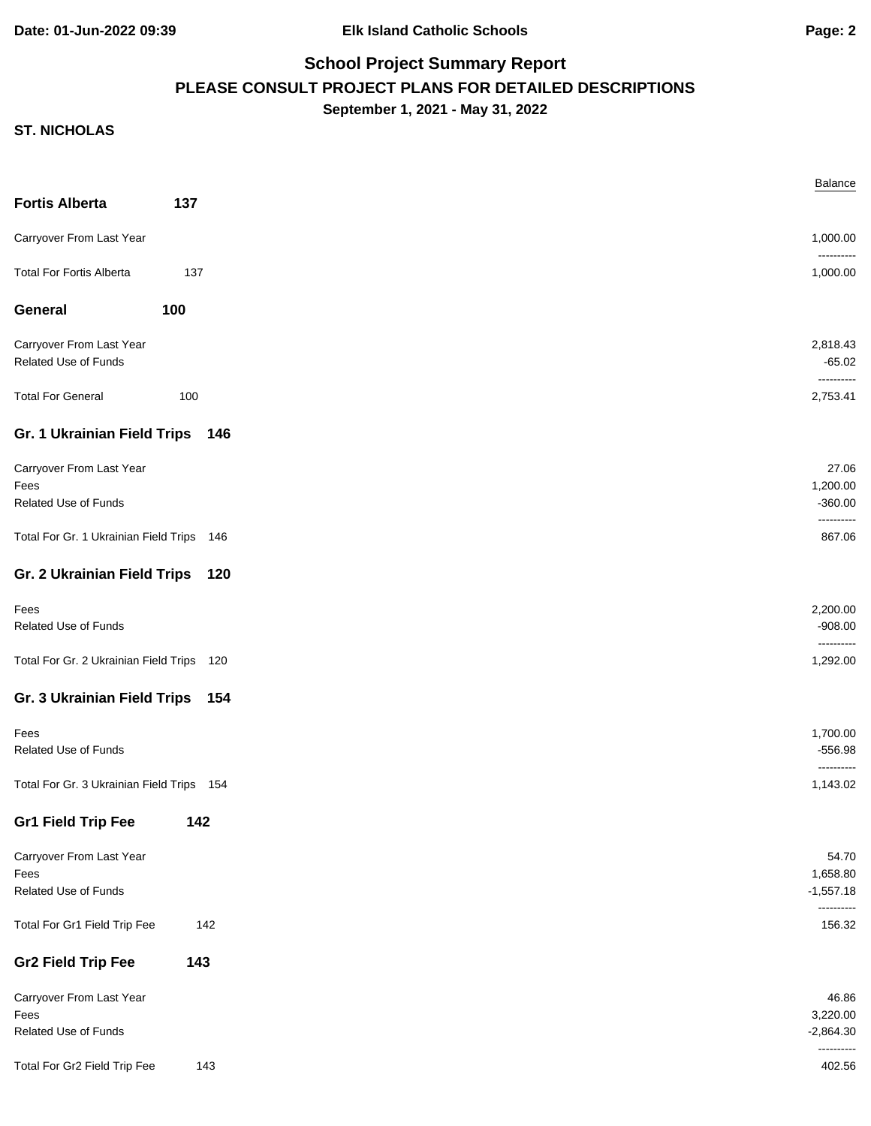# **School Project Summary Report PLEASE CONSULT PROJECT PLANS FOR DETAILED DESCRIPTIONS September 1, 2021 - May 31, 2022**

| <b>Fortis Alberta</b>                     | 137 |  |
|-------------------------------------------|-----|--|
| Carryover From Last Year                  |     |  |
| <b>Total For Fortis Alberta</b>           | 137 |  |
|                                           |     |  |
| General                                   | 100 |  |
| Carryover From Last Year                  |     |  |
| Related Use of Funds                      |     |  |
| <b>Total For General</b>                  | 100 |  |
| Gr. 1 Ukrainian Field Trips 146           |     |  |
| Carryover From Last Year                  |     |  |
| Fees                                      |     |  |
| Related Use of Funds                      |     |  |
| Total For Gr. 1 Ukrainian Field Trips 146 |     |  |
| Gr. 2 Ukrainian Field Trips 120           |     |  |
| Fees                                      |     |  |
| Related Use of Funds                      |     |  |
| Total For Gr. 2 Ukrainian Field Trips 120 |     |  |
| Gr. 3 Ukrainian Field Trips 154           |     |  |
| Fees                                      |     |  |
| Related Use of Funds                      |     |  |
| Total For Gr. 3 Ukrainian Field Trips 154 |     |  |
| <b>Gr1 Field Trip Fee</b>                 | 142 |  |
|                                           |     |  |
| Carryover From Last Year<br>Fees          |     |  |
| Related Use of Funds                      |     |  |
| Total For Gr1 Field Trip Fee              | 142 |  |
|                                           |     |  |
| <b>Gr2 Field Trip Fee</b>                 | 143 |  |
| Carryover From Last Year                  |     |  |
| Fees<br>Related Use of Funds              |     |  |
|                                           |     |  |
| Total For Gr2 Field Trip Fee              | 143 |  |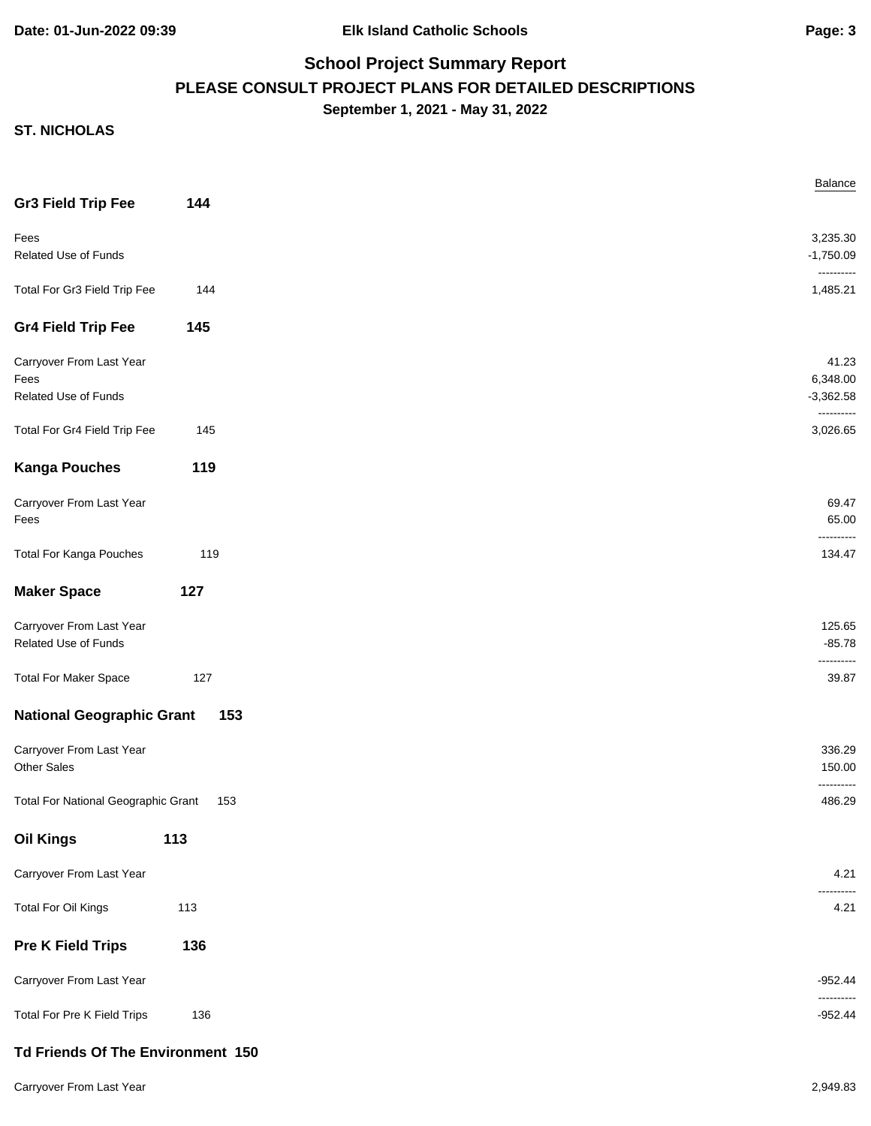## **School Project Summary Report PLEASE CONSULT PROJECT PLANS FOR DETAILED DESCRIPTIONS September 1, 2021 - May 31, 2022**

|                                            |     | Balance                   |
|--------------------------------------------|-----|---------------------------|
| <b>Gr3 Field Trip Fee</b>                  | 144 |                           |
| Fees                                       |     | 3,235.30                  |
| <b>Related Use of Funds</b>                |     | $-1,750.09$               |
|                                            |     |                           |
| Total For Gr3 Field Trip Fee               | 144 | 1,485.21                  |
| <b>Gr4 Field Trip Fee</b>                  | 145 |                           |
| Carryover From Last Year                   |     | 41.23                     |
| Fees                                       |     | 6,348.00                  |
| Related Use of Funds                       |     | $-3,362.58$<br>---------- |
| Total For Gr4 Field Trip Fee               | 145 | 3,026.65                  |
| <b>Kanga Pouches</b>                       | 119 |                           |
| Carryover From Last Year                   |     | 69.47                     |
| Fees                                       |     | 65.00                     |
| <b>Total For Kanga Pouches</b>             | 119 | 134.47                    |
| <b>Maker Space</b>                         | 127 |                           |
| Carryover From Last Year                   |     | 125.65                    |
| Related Use of Funds                       |     | $-85.78$                  |
| <b>Total For Maker Space</b>               | 127 | ------<br>39.87           |
| <b>National Geographic Grant</b>           | 153 |                           |
| Carryover From Last Year                   |     | 336.29                    |
| <b>Other Sales</b>                         |     | 150.00<br>---------       |
| <b>Total For National Geographic Grant</b> | 153 | 486.29                    |
| <b>Oil Kings</b>                           | 113 |                           |
| Carryover From Last Year                   |     | 4.21                      |
| Total For Oil Kings                        | 113 | 4.21                      |
| <b>Pre K Field Trips</b>                   | 136 |                           |
| Carryover From Last Year                   |     | $-952.44$                 |
| Total For Pre K Field Trips                | 136 | $-952.44$                 |
| Td Friends Of The Environment 150          |     |                           |